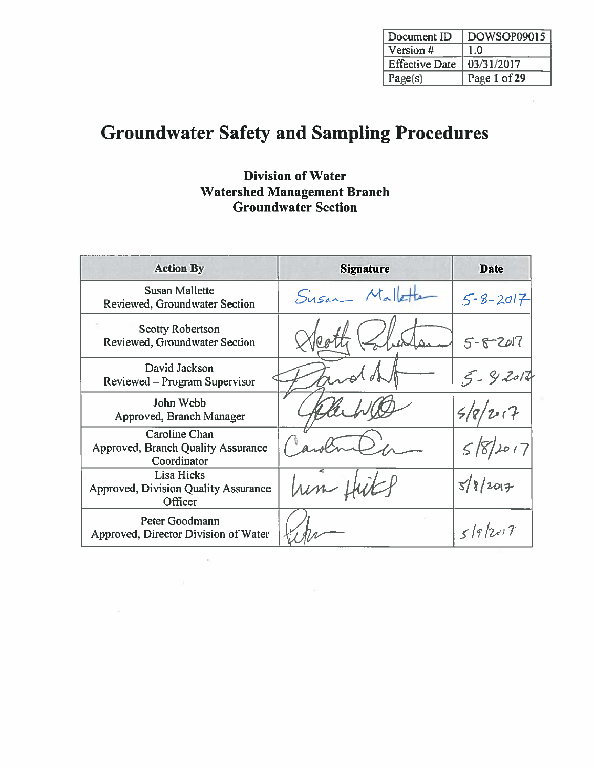| Document ID           | DOWSOP09015  |
|-----------------------|--------------|
| Version #             | 1.0          |
| <b>Effective Date</b> | 03/31/2017   |
| Page(s)               | Page 1 of 29 |

# **Groundwater Safety and Sampling Procedures**

### **Division of Water Watershed Management Branch Groundwater Section**

| <b>Action By</b>                                                     | <b>Signature</b>           | <b>Date</b>    |
|----------------------------------------------------------------------|----------------------------|----------------|
| <b>Susan Mallette</b><br>Reviewed, Groundwater Section               | $M_{\alpha}$ lett<br>Susan | $5 - 8 - 2017$ |
| <b>Scotty Robertson</b><br>Reviewed, Groundwater Section             |                            | $5 - 8 - 2017$ |
| David Jackson<br>Reviewed – Program Supervisor                       |                            | $5 - 92014$    |
| John Webb<br>Approved, Branch Manager                                |                            | 207            |
| Caroline Chan<br>Approved, Branch Quality Assurance<br>Coordinator   |                            | 58/2017        |
| Lisa Hicks<br><b>Approved, Division Quality Assurance</b><br>Officer |                            | 5/8/2017       |
| Peter Goodmann<br>Approved, Director Division of Water               |                            | 519/2017       |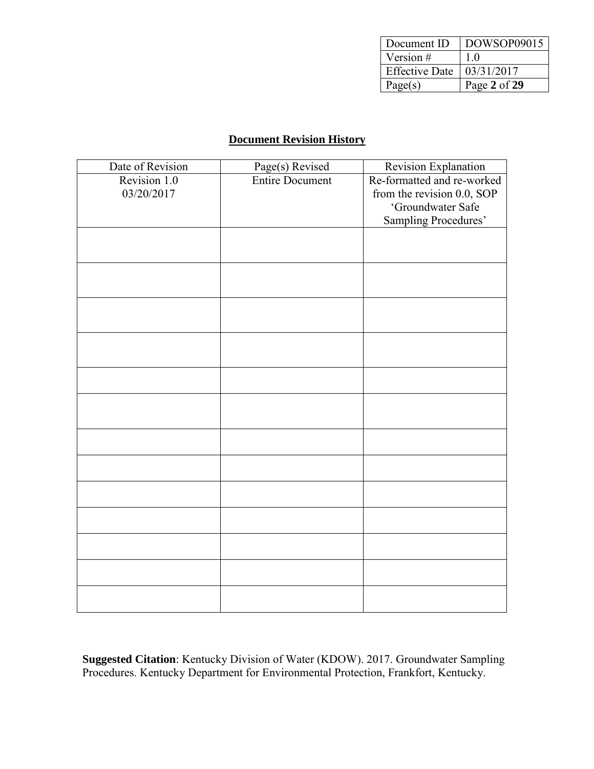| Document ID           | DOWSOP09015  |
|-----------------------|--------------|
| Version $#$           | 10           |
| <b>Effective Date</b> | 03/31/2017   |
| Page(s)               | Page 2 of 29 |

#### **Document Revision History**

| Date of Revision | Page(s) Revised        | Revision Explanation       |
|------------------|------------------------|----------------------------|
| Revision 1.0     | <b>Entire Document</b> | Re-formatted and re-worked |
| 03/20/2017       |                        | from the revision 0.0, SOP |
|                  |                        | 'Groundwater Safe          |
|                  |                        | Sampling Procedures'       |
|                  |                        |                            |
|                  |                        |                            |
|                  |                        |                            |
|                  |                        |                            |
|                  |                        |                            |
|                  |                        |                            |
|                  |                        |                            |
|                  |                        |                            |
|                  |                        |                            |
|                  |                        |                            |
|                  |                        |                            |
|                  |                        |                            |
|                  |                        |                            |
|                  |                        |                            |
|                  |                        |                            |
|                  |                        |                            |
|                  |                        |                            |
|                  |                        |                            |
|                  |                        |                            |
|                  |                        |                            |
|                  |                        |                            |
|                  |                        |                            |
|                  |                        |                            |

**Suggested Citation**: Kentucky Division of Water (KDOW). 2017. Groundwater Sampling Procedures. Kentucky Department for Environmental Protection, Frankfort, Kentucky.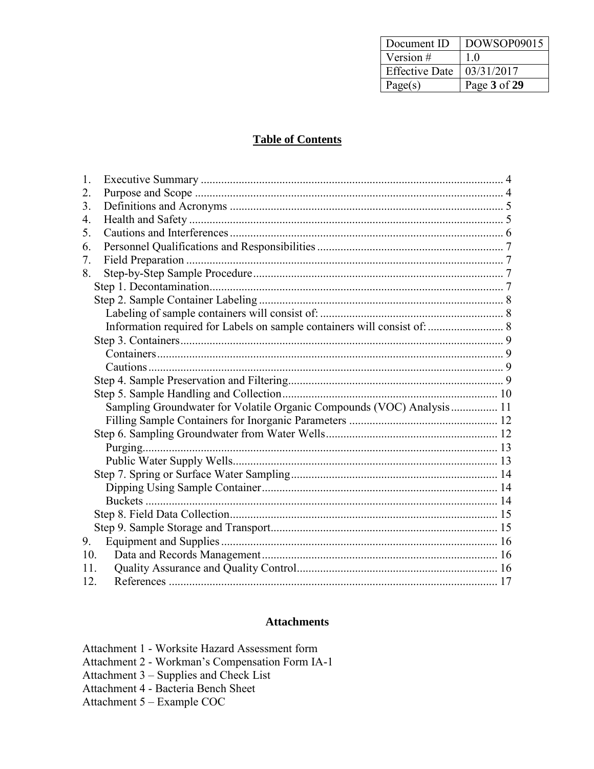| Document ID           | DOWSOP09015  |
|-----------------------|--------------|
| Version $#$           | 10           |
| <b>Effective Date</b> | 03/31/2017   |
| Page(s)               | Page 3 of 29 |

#### **Table of Contents**

| 1.                                                                    |  |
|-----------------------------------------------------------------------|--|
| 2.                                                                    |  |
| 3.                                                                    |  |
| 4.                                                                    |  |
| 5.                                                                    |  |
| 6.                                                                    |  |
| 7.                                                                    |  |
| 8.                                                                    |  |
|                                                                       |  |
|                                                                       |  |
|                                                                       |  |
|                                                                       |  |
|                                                                       |  |
|                                                                       |  |
|                                                                       |  |
|                                                                       |  |
|                                                                       |  |
| Sampling Groundwater for Volatile Organic Compounds (VOC) Analysis 11 |  |
|                                                                       |  |
|                                                                       |  |
|                                                                       |  |
|                                                                       |  |
|                                                                       |  |
|                                                                       |  |
|                                                                       |  |
|                                                                       |  |
|                                                                       |  |
| 9.                                                                    |  |
| 10.                                                                   |  |
| 11                                                                    |  |
| 12.                                                                   |  |

#### **Attachments**

| Attachment 1 - Worksite Hazard Assessment form  |
|-------------------------------------------------|
| Attachment 2 - Workman's Compensation Form IA-1 |
| Attachment 3 – Supplies and Check List          |
| Attachment 4 - Bacteria Bench Sheet             |
| Attachment 5 – Example COC                      |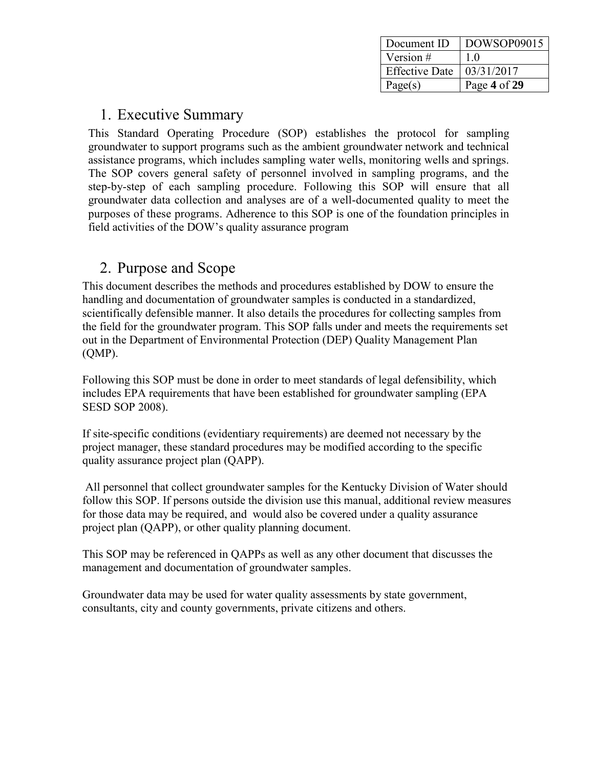| Document ID           | DOWSOP09015  |
|-----------------------|--------------|
| Version $#$           | 10           |
| <b>Effective Date</b> | 03/31/2017   |
| Page(s)               | Page 4 of 29 |

### <span id="page-3-0"></span>1. Executive Summary

This Standard Operating Procedure (SOP) establishes the protocol for sampling groundwater to support programs such as the ambient groundwater network and technical assistance programs, which includes sampling water wells, monitoring wells and springs. The SOP covers general safety of personnel involved in sampling programs, and the step-by-step of each sampling procedure. Following this SOP will ensure that all groundwater data collection and analyses are of a well-documented quality to meet the purposes of these programs. Adherence to this SOP is one of the foundation principles in field activities of the DOW's quality assurance program

## <span id="page-3-1"></span>2. Purpose and Scope

This document describes the methods and procedures established by DOW to ensure the handling and documentation of groundwater samples is conducted in a standardized, scientifically defensible manner. It also details the procedures for collecting samples from the field for the groundwater program. This SOP falls under and meets the requirements set out in the Department of Environmental Protection (DEP) Quality Management Plan (QMP).

Following this SOP must be done in order to meet standards of legal defensibility, which includes EPA requirements that have been established for groundwater sampling (EPA SESD SOP 2008).

If site-specific conditions (evidentiary requirements) are deemed not necessary by the project manager, these standard procedures may be modified according to the specific quality assurance project plan (QAPP).

All personnel that collect groundwater samples for the Kentucky Division of Water should follow this SOP. If persons outside the division use this manual, additional review measures for those data may be required, and would also be covered under a quality assurance project plan (QAPP), or other quality planning document.

This SOP may be referenced in QAPPs as well as any other document that discusses the management and documentation of groundwater samples.

Groundwater data may be used for water quality assessments by state government, consultants, city and county governments, private citizens and others.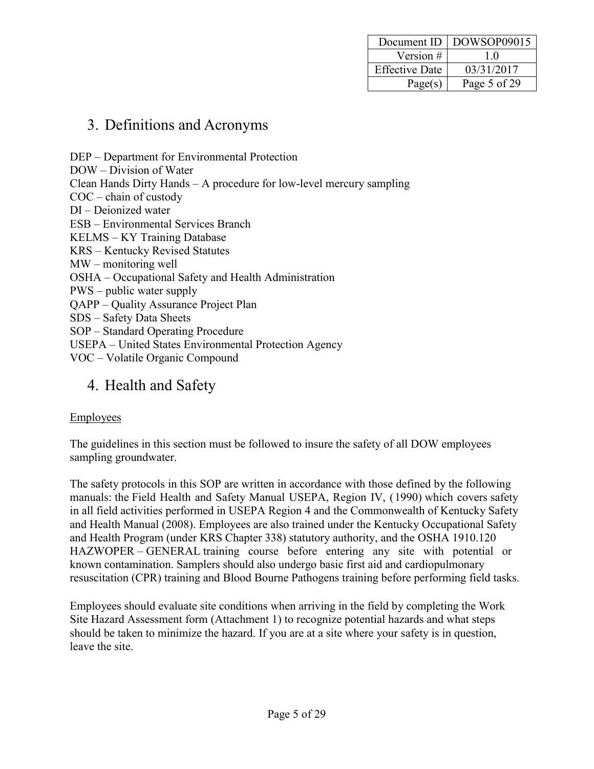| Document ID           | $\mid$ DOWSOP09015 |
|-----------------------|--------------------|
| Version #             | 10                 |
| <b>Effective Date</b> | 03/31/2017         |
| Page(s)               | Page 5 of 29       |

### <span id="page-4-0"></span>3. Definitions and Acronyms

DEP – Department for Environmental Protection DOW – Division of Water Clean Hands Dirty Hands – A procedure for low-level mercury sampling COC – chain of custody DI – Deionized water ESB – Environmental Services Branch KELMS – KY Training Database KRS – Kentucky Revised Statutes MW – monitoring well OSHA – Occupational Safety and Health Administration PWS – public water supply QAPP – Quality Assurance Project Plan SDS – Safety Data Sheets SOP – Standard Operating Procedure USEPA – United States Environmental Protection Agency VOC – Volatile Organic Compound

## <span id="page-4-1"></span>4. Health and Safety

#### Employees

The guidelines in this section must be followed to insure the safety of all DOW employees sampling groundwater.

The safety protocols in this SOP are written in accordance with those defined by the following manuals: the Field Health and Safety Manual USEPA, Region IV, (1990) which covers safety in all field activities performed in USEPA Region 4 and the Commonwealth of Kentucky Safety and Health Manual (2008). Employees are also trained under the Kentucky Occupational Safety and Health Program (under KRS Chapter 338) statutory authority, and the OSHA 1910.120 HAZWOPER – GENERAL training course before entering any site with potential or known contamination. Samplers should also undergo basic first aid and cardiopulmonary resuscitation (CPR) training and Blood Bourne Pathogens training before performing field tasks.

Employees should evaluate site conditions when arriving in the field by completing the Work Site Hazard Assessment form (Attachment 1) to recognize potential hazards and what steps should be taken to minimize the hazard. If you are at a site where your safety is in question, leave the site.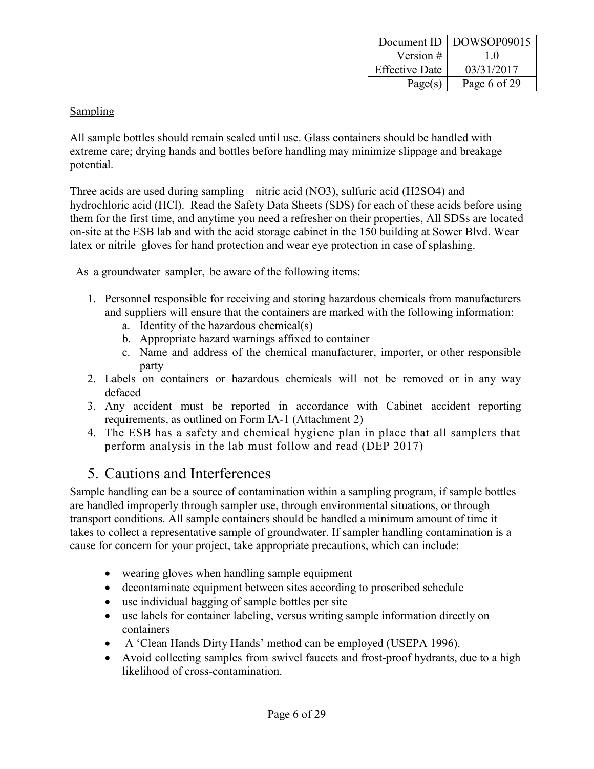| Document ID           | DOWSOP09015  |
|-----------------------|--------------|
| Version $#$           | 10           |
| <b>Effective Date</b> | 03/31/2017   |
| Page(s)               | Page 6 of 29 |

#### **Sampling**

All sample bottles should remain sealed until use. Glass containers should be handled with extreme care; drying hands and bottles before handling may minimize slippage and breakage potential.

Three acids are used during sampling – nitric acid (NO3), sulfuric acid (H2SO4) and hydrochloric acid (HCl). Read the Safety Data Sheets (SDS) for each of these acids before using them for the first time, and anytime you need a refresher on their properties, All SDSs are located on-site at the ESB lab and with the acid storage cabinet in the 150 building at Sower Blvd. Wear latex or nitrile gloves for hand protection and wear eye protection in case of splashing.

As a groundwater sampler, be aware of the following items:

- 1. Personnel responsible for receiving and storing hazardous chemicals from manufacturers and suppliers will ensure that the containers are marked with the following information:
	- a. Identity of the hazardous chemical(s)
	- b. Appropriate hazard warnings affixed to container
	- c. Name and address of the chemical manufacturer, importer, or other responsible party
- 2. Labels on containers or hazardous chemicals will not be removed or in any way defaced
- 3. Any accident must be reported in accordance with Cabinet accident reporting requirements, as outlined on Form IA-1 (Attachment 2)
- 4. The ESB has a safety and chemical hygiene plan in place that all samplers that perform analysis in the lab must follow and read (DEP 2017)

### <span id="page-5-0"></span>5. Cautions and Interferences

Sample handling can be a source of contamination within a sampling program, if sample bottles are handled improperly through sampler use, through environmental situations, or through transport conditions. All sample containers should be handled a minimum amount of time it takes to collect a representative sample of groundwater. If sampler handling contamination is a cause for concern for your project, take appropriate precautions, which can include:

- wearing gloves when handling sample equipment
- decontaminate equipment between sites according to proscribed schedule
- use individual bagging of sample bottles per site
- use labels for container labeling, versus writing sample information directly on containers
- A 'Clean Hands Dirty Hands' method can be employed (USEPA 1996).
- Avoid collecting samples from swivel faucets and frost-proof hydrants, due to a high likelihood of cross-contamination.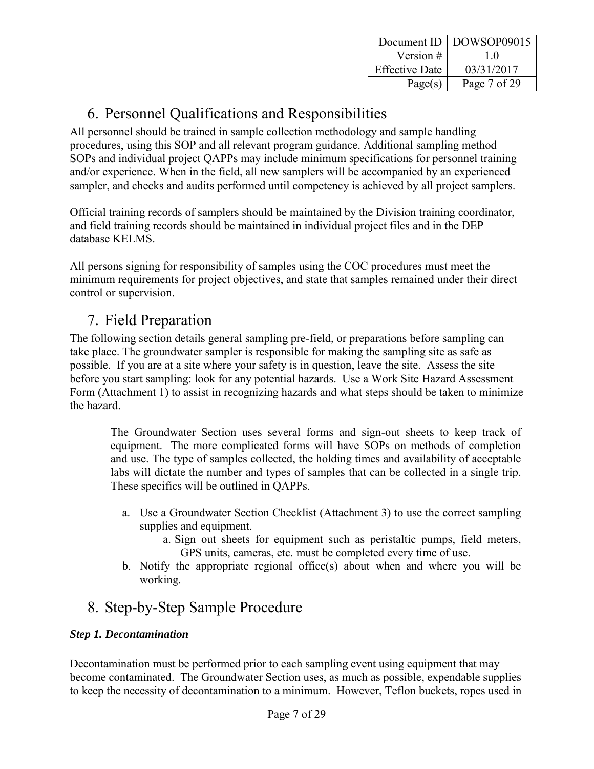| Document ID           | DOWSOP09015  |
|-----------------------|--------------|
| Version #             | 10           |
| <b>Effective Date</b> | 03/31/2017   |
| Page(s)               | Page 7 of 29 |

## <span id="page-6-0"></span>6. Personnel Qualifications and Responsibilities

All personnel should be trained in sample collection methodology and sample handling procedures, using this SOP and all relevant program guidance. Additional sampling method SOPs and individual project QAPPs may include minimum specifications for personnel training and/or experience. When in the field, all new samplers will be accompanied by an experienced sampler, and checks and audits performed until competency is achieved by all project samplers.

Official training records of samplers should be maintained by the Division training coordinator, and field training records should be maintained in individual project files and in the DEP database KELMS.

All persons signing for responsibility of samples using the COC procedures must meet the minimum requirements for project objectives, and state that samples remained under their direct control or supervision.

## <span id="page-6-1"></span>7. Field Preparation

The following section details general sampling pre-field, or preparations before sampling can take place. The groundwater sampler is responsible for making the sampling site as safe as possible. If you are at a site where your safety is in question, leave the site. Assess the site before you start sampling: look for any potential hazards. Use a Work Site Hazard Assessment Form (Attachment 1) to assist in recognizing hazards and what steps should be taken to minimize the hazard.

The Groundwater Section uses several forms and sign-out sheets to keep track of equipment. The more complicated forms will have SOPs on methods of completion and use. The type of samples collected, the holding times and availability of acceptable labs will dictate the number and types of samples that can be collected in a single trip. These specifics will be outlined in QAPPs.

- a. Use a Groundwater Section Checklist (Attachment 3) to use the correct sampling supplies and equipment.
	- a. Sign out sheets for equipment such as peristaltic pumps, field meters, GPS units, cameras, etc. must be completed every time of use.
- b. Notify the appropriate regional office(s) about when and where you will be working.

## <span id="page-6-2"></span>8. Step-by-Step Sample Procedure

#### <span id="page-6-3"></span>*Step 1. Decontamination*

Decontamination must be performed prior to each sampling event using equipment that may become contaminated. The Groundwater Section uses, as much as possible, expendable supplies to keep the necessity of decontamination to a minimum. However, Teflon buckets, ropes used in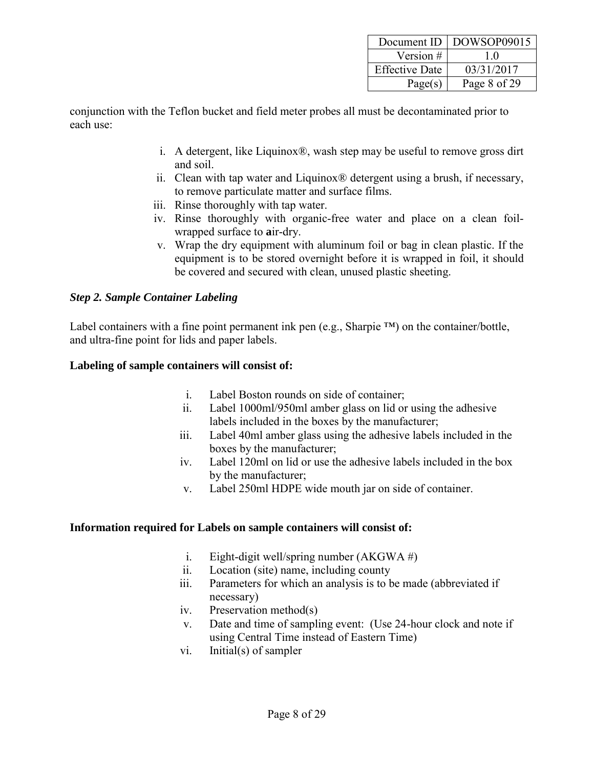|                       | Document ID   DOWSOP09015 |
|-----------------------|---------------------------|
| Version $#$           | 10                        |
| <b>Effective Date</b> | 03/31/2017                |
| Page(s)               | Page 8 of 29              |

conjunction with the Teflon bucket and field meter probes all must be decontaminated prior to each use:

- i. A detergent, like Liquinox®, wash step may be useful to remove gross dirt and soil.
- ii. Clean with tap water and Liquinox® detergent using a brush, if necessary, to remove particulate matter and surface films.
- iii. Rinse thoroughly with tap water.
- iv. Rinse thoroughly with organic-free water and place on a clean foilwrapped surface to **a**ir-dry.
- v. Wrap the dry equipment with aluminum foil or bag in clean plastic. If the equipment is to be stored overnight before it is wrapped in foil, it should be covered and secured with clean, unused plastic sheeting.

#### <span id="page-7-0"></span>*Step 2. Sample Container Labeling*

Label containers with a fine point permanent ink pen (e.g., Sharpie ™) on the container/bottle, and ultra-fine point for lids and paper labels.

#### <span id="page-7-1"></span>**Labeling of sample containers will consist of:**

- i. Label Boston rounds on side of container;
- ii. Label 1000ml/950ml amber glass on lid or using the adhesive labels included in the boxes by the manufacturer;
- iii. Label 40ml amber glass using the adhesive labels included in the boxes by the manufacturer;
- iv. Label 120ml on lid or use the adhesive labels included in the box by the manufacturer;
- v. Label 250ml HDPE wide mouth jar on side of container.

#### <span id="page-7-2"></span>**Information required for Labels on sample containers will consist of:**

- i. Eight-digit well/spring number  $(AKGWA \#)$
- ii. Location (site) name, including county
- iii. Parameters for which an analysis is to be made (abbreviated if necessary)
- iv. Preservation method(s)
- v. Date and time of sampling event: (Use 24-hour clock and note if using Central Time instead of Eastern Time)
- vi. Initial(s) of sampler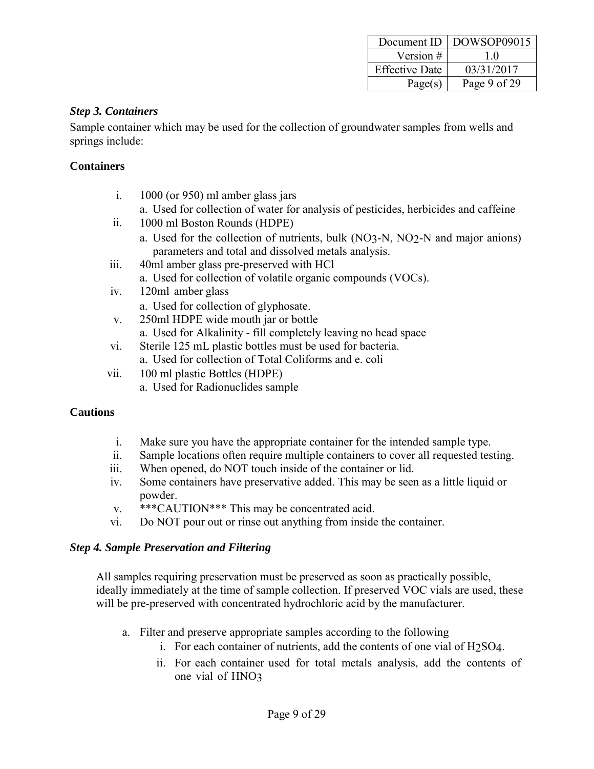| Document ID           | DOWSOP09015  |
|-----------------------|--------------|
| Version #             | 10           |
| <b>Effective Date</b> | 03/31/2017   |
| Page(s)               | Page 9 of 29 |

#### <span id="page-8-0"></span>*Step 3. Containers*

Sample container which may be used for the collection of groundwater samples from wells and springs include:

#### <span id="page-8-1"></span>**Containers**

- i. 1000 (or 950) ml amber glass jars
	- a. Used for collection of water for analysis of pesticides, herbicides and caffeine
- ii. 1000 ml Boston Rounds (HDPE)
	- a. Used for the collection of nutrients, bulk (NO3-N, NO2-N and major anions) parameters and total and dissolved metals analysis.
- iii. 40ml amber glass pre-preserved with HCl
	- a. Used for collection of volatile organic compounds (VOCs).
- iv. 120ml amber glass
	- a. Used for collection of glyphosate.
- v. 250ml HDPE wide mouth jar or bottle
	- a. Used for Alkalinity fill completely leaving no head space
- vi. Sterile 125 mL plastic bottles must be used for bacteria.
	- a. Used for collection of Total Coliforms and e. coli
- vii. 100 ml plastic Bottles (HDPE)
	- a. Used for Radionuclides sample

#### <span id="page-8-2"></span>**Cautions**

- i. Make sure you have the appropriate container for the intended sample type.
- ii. Sample locations often require multiple containers to cover all requested testing.
- iii. When opened, do NOT touch inside of the container or lid.
- iv. Some containers have preservative added. This may be seen as a little liquid or powder.
- v. \*\*\*CAUTION\*\*\* This may be concentrated acid.
- vi. Do NOT pour out or rinse out anything from inside the container.

#### <span id="page-8-3"></span>*Step 4. Sample Preservation and Filtering*

All samples requiring preservation must be preserved as soon as practically possible, ideally immediately at the time of sample collection. If preserved VOC vials are used, these will be pre-preserved with concentrated hydrochloric acid by the manufacturer.

- a. Filter and preserve appropriate samples according to the following
	- i. For each container of nutrients, add the contents of one vial of H2SO4.
	- ii. For each container used for total metals analysis, add the contents of one vial of HNO3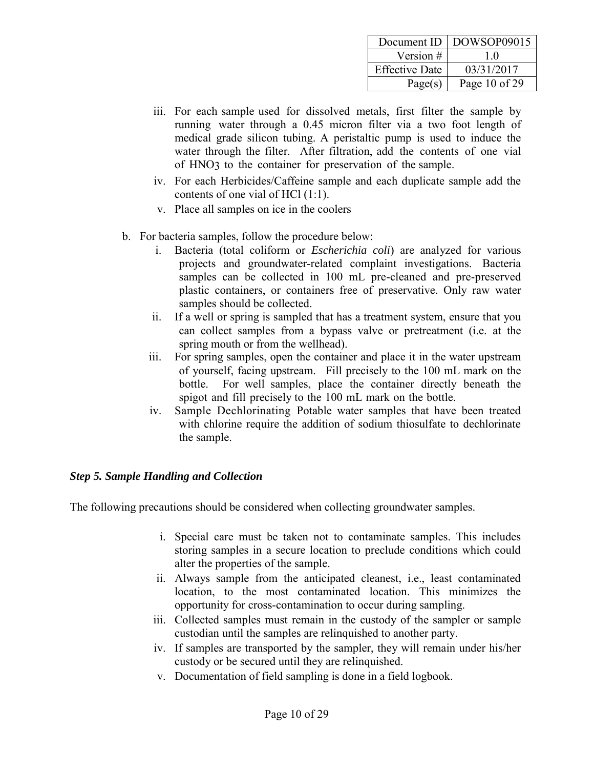|                       | Document ID   DOWSOP09015 |
|-----------------------|---------------------------|
| Version #             | 10                        |
| <b>Effective Date</b> | 03/31/2017                |
| Page(s)               | Page 10 of 29             |

- iii. For each sample used for dissolved metals, first filter the sample by running water through a 0.45 micron filter via a two foot length of medical grade silicon tubing. A peristaltic pump is used to induce the water through the filter. After filtration, add the contents of one vial of HNO3 to the container for preservation of the sample.
- iv. For each Herbicides/Caffeine sample and each duplicate sample add the contents of one vial of HCl (1:1).
- v. Place all samples on ice in the coolers
- b. For bacteria samples, follow the procedure below:
	- i. Bacteria (total coliform or *Escherichia coli*) are analyzed for various projects and groundwater-related complaint investigations. Bacteria samples can be collected in 100 mL pre-cleaned and pre-preserved plastic containers, or containers free of preservative. Only raw water samples should be collected.
	- ii. If a well or spring is sampled that has a treatment system, ensure that you can collect samples from a bypass valve or pretreatment (i.e. at the spring mouth or from the wellhead).
	- iii. For spring samples, open the container and place it in the water upstream of yourself, facing upstream. Fill precisely to the 100 mL mark on the bottle. For well samples, place the container directly beneath the spigot and fill precisely to the 100 mL mark on the bottle.
	- iv. Sample Dechlorinating Potable water samples that have been treated with chlorine require the addition of sodium thiosulfate to dechlorinate the sample.

#### <span id="page-9-0"></span>*Step 5. Sample Handling and Collection*

The following precautions should be considered when collecting groundwater samples.

- i. Special care must be taken not to contaminate samples. This includes storing samples in a secure location to preclude conditions which could alter the properties of the sample.
- ii. Always sample from the anticipated cleanest, i.e., least contaminated location, to the most contaminated location. This minimizes the opportunity for cross-contamination to occur during sampling.
- iii. Collected samples must remain in the custody of the sampler or sample custodian until the samples are relinquished to another party.
- iv. If samples are transported by the sampler, they will remain under his/her custody or be secured until they are relinquished.
- v. Documentation of field sampling is done in a field logbook.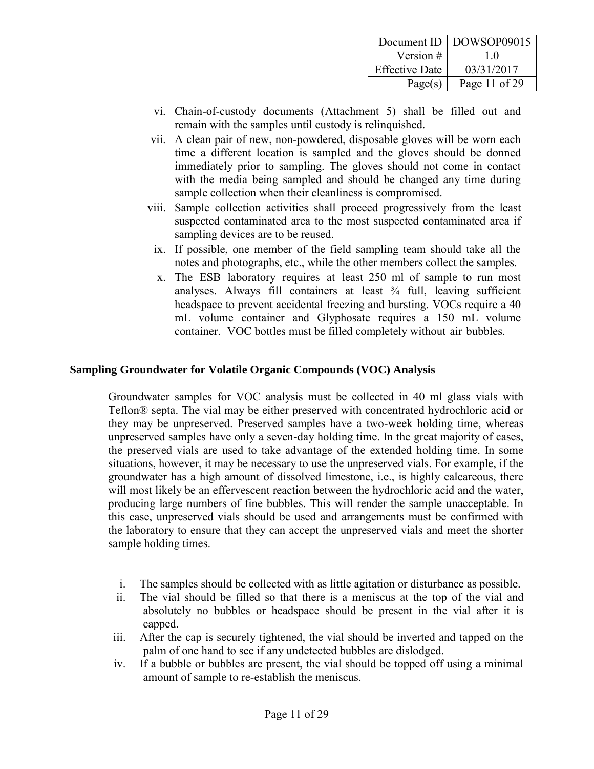|                       | Document ID   DOWSOP09015 |
|-----------------------|---------------------------|
| Version #             | 10                        |
| <b>Effective Date</b> | 03/31/2017                |
| Page(s)               | Page 11 of 29             |

- vi. Chain-of-custody documents (Attachment 5) shall be filled out and remain with the samples until custody is relinquished.
- vii. A clean pair of new, non-powdered, disposable gloves will be worn each time a different location is sampled and the gloves should be donned immediately prior to sampling. The gloves should not come in contact with the media being sampled and should be changed any time during sample collection when their cleanliness is compromised.
- viii. Sample collection activities shall proceed progressively from the least suspected contaminated area to the most suspected contaminated area if sampling devices are to be reused.
- ix. If possible, one member of the field sampling team should take all the notes and photographs, etc., while the other members collect the samples.
- x. The ESB laboratory requires at least 250 ml of sample to run most analyses. Always fill containers at least  $\frac{3}{4}$  full, leaving sufficient headspace to prevent accidental freezing and bursting. VOCs require a 40 mL volume container and Glyphosate requires a 150 mL volume container. VOC bottles must be filled completely without air bubbles.

#### <span id="page-10-0"></span>**Sampling Groundwater for Volatile Organic Compounds (VOC) Analysis**

Groundwater samples for VOC analysis must be collected in 40 ml glass vials with Teflon® septa. The vial may be either preserved with concentrated hydrochloric acid or they may be unpreserved. Preserved samples have a two-week holding time, whereas unpreserved samples have only a seven-day holding time. In the great majority of cases, the preserved vials are used to take advantage of the extended holding time. In some situations, however, it may be necessary to use the unpreserved vials. For example, if the groundwater has a high amount of dissolved limestone, i.e., is highly calcareous, there will most likely be an effervescent reaction between the hydrochloric acid and the water, producing large numbers of fine bubbles. This will render the sample unacceptable. In this case, unpreserved vials should be used and arrangements must be confirmed with the laboratory to ensure that they can accept the unpreserved vials and meet the shorter sample holding times.

- i. The samples should be collected with as little agitation or disturbance as possible.
- ii. The vial should be filled so that there is a meniscus at the top of the vial and absolutely no bubbles or headspace should be present in the vial after it is capped.
- iii. After the cap is securely tightened, the vial should be inverted and tapped on the palm of one hand to see if any undetected bubbles are dislodged.
- iv. If a bubble or bubbles are present, the vial should be topped off using a minimal amount of sample to re-establish the meniscus.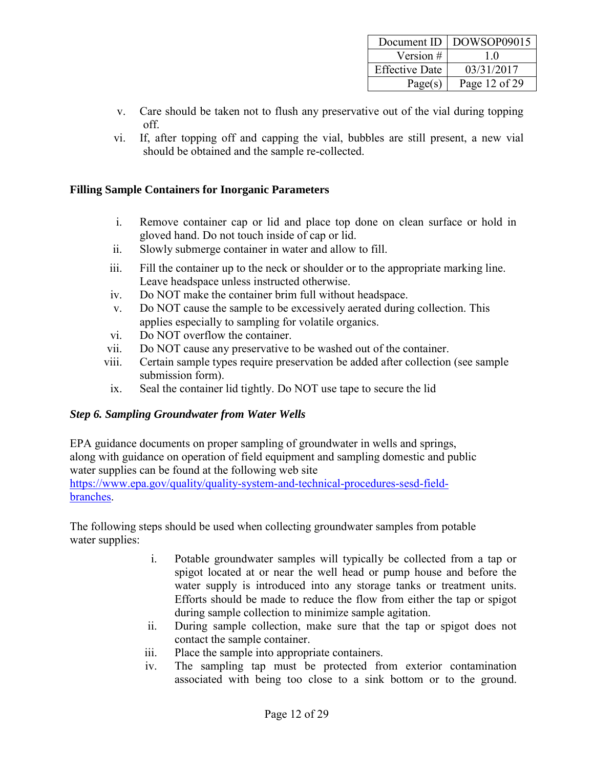| Document ID           | DOWSOP09015   |
|-----------------------|---------------|
| Version #             | 10            |
| <b>Effective Date</b> | 03/31/2017    |
| Page(s)               | Page 12 of 29 |

- v. Care should be taken not to flush any preservative out of the vial during topping off.
- vi. If, after topping off and capping the vial, bubbles are still present, a new vial should be obtained and the sample re-collected.

#### <span id="page-11-0"></span>**Filling Sample Containers for Inorganic Parameters**

- i. Remove container cap or lid and place top done on clean surface or hold in gloved hand. Do not touch inside of cap or lid.
- ii. Slowly submerge container in water and allow to fill.
- iii. Fill the container up to the neck or shoulder or to the appropriate marking line. Leave headspace unless instructed otherwise.
- iv. Do NOT make the container brim full without headspace.
- v. Do NOT cause the sample to be excessively aerated during collection. This applies especially to sampling for volatile organics.
- vi. Do NOT overflow the container.
- vii. Do NOT cause any preservative to be washed out of the container.
- viii. Certain sample types require preservation be added after collection (see sample submission form).
- ix. Seal the container lid tightly. Do NOT use tape to secure the lid

#### <span id="page-11-1"></span>*Step 6. Sampling Groundwater from Water Wells*

EPA guidance documents on proper sampling of groundwater in wells and springs, along with guidance on operation of field equipment and sampling domestic and public water supplies can be found at the following web site

[https://www.epa.gov/quality/quality-system-and-technical-procedures-sesd-field](https://www.epa.gov/quality/quality-system-and-technical-procedures-sesd-field-branches)[branches.](https://www.epa.gov/quality/quality-system-and-technical-procedures-sesd-field-branches)

The following steps should be used when collecting groundwater samples from potable water supplies:

- i. Potable groundwater samples will typically be collected from a tap or spigot located at or near the well head or pump house and before the water supply is introduced into any storage tanks or treatment units. Efforts should be made to reduce the flow from either the tap or spigot during sample collection to minimize sample agitation.
- ii. During sample collection, make sure that the tap or spigot does not contact the sample container.
- iii. Place the sample into appropriate containers.
- iv. The sampling tap must be protected from exterior contamination associated with being too close to a sink bottom or to the ground.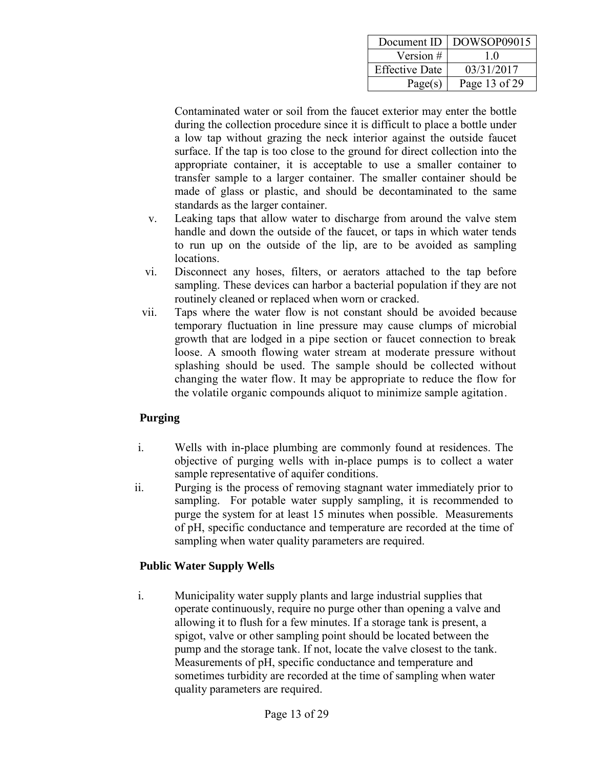| Document ID           | DOWSOP09015   |
|-----------------------|---------------|
| Version #             | 10            |
| <b>Effective Date</b> | 03/31/2017    |
| Page(s)               | Page 13 of 29 |

Contaminated water or soil from the faucet exterior may enter the bottle during the collection procedure since it is difficult to place a bottle under a low tap without grazing the neck interior against the outside faucet surface. If the tap is too close to the ground for direct collection into the appropriate container, it is acceptable to use a smaller container to transfer sample to a larger container. The smaller container should be made of glass or plastic, and should be decontaminated to the same standards as the larger container.

- v. Leaking taps that allow water to discharge from around the valve stem handle and down the outside of the faucet, or taps in which water tends to run up on the outside of the lip, are to be avoided as sampling locations.
- vi. Disconnect any hoses, filters, or aerators attached to the tap before sampling. These devices can harbor a bacterial population if they are not routinely cleaned or replaced when worn or cracked.
- vii. Taps where the water flow is not constant should be avoided because temporary fluctuation in line pressure may cause clumps of microbial growth that are lodged in a pipe section or faucet connection to break loose. A smooth flowing water stream at moderate pressure without splashing should be used. The sample should be collected without changing the water flow. It may be appropriate to reduce the flow for the volatile organic compounds aliquot to minimize sample agitation.

#### <span id="page-12-0"></span> **Purging**

- i. Wells with in-place plumbing are commonly found at residences. The objective of purging wells with in-place pumps is to collect a water sample representative of aquifer conditions.
- ii. Purging is the process of removing stagnant water immediately prior to sampling. For potable water supply sampling, it is recommended to purge the system for at least 15 minutes when possible. Measurements of pH, specific conductance and temperature are recorded at the time of sampling when water quality parameters are required.

#### <span id="page-12-1"></span> **Public Water Supply Wells**

i. Municipality water supply plants and large industrial supplies that operate continuously, require no purge other than opening a valve and allowing it to flush for a few minutes. If a storage tank is present, a spigot, valve or other sampling point should be located between the pump and the storage tank. If not, locate the valve closest to the tank. Measurements of pH, specific conductance and temperature and sometimes turbidity are recorded at the time of sampling when water quality parameters are required.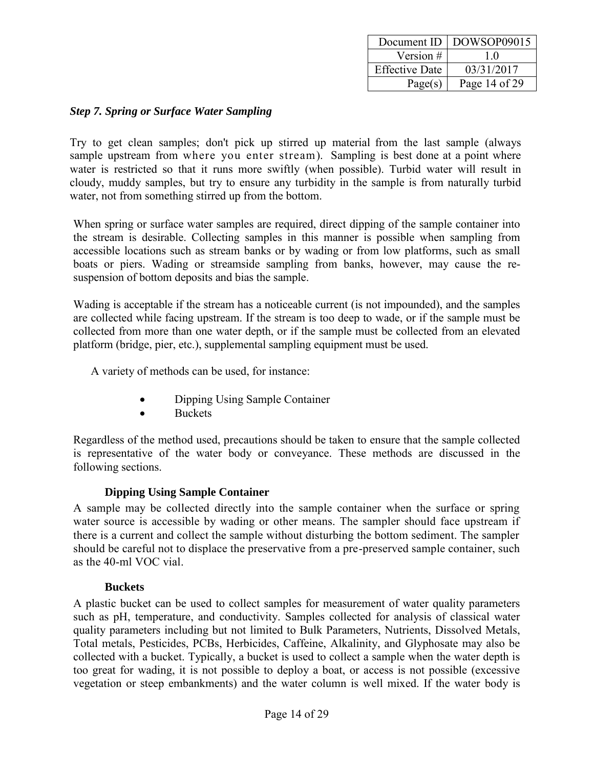| Document ID           | DOWSOP09015   |
|-----------------------|---------------|
| Version #             | 10            |
| <b>Effective Date</b> | 03/31/2017    |
| Page(s)               | Page 14 of 29 |

#### <span id="page-13-0"></span>*Step 7. Spring or Surface Water Sampling*

Try to get clean samples; don't pick up stirred up material from the last sample (always sample upstream from where you enter stream). Sampling is best done at a point where water is restricted so that it runs more swiftly (when possible). Turbid water will result in cloudy, muddy samples, but try to ensure any turbidity in the sample is from naturally turbid water, not from something stirred up from the bottom.

When spring or surface water samples are required, direct dipping of the sample container into the stream is desirable. Collecting samples in this manner is possible when sampling from accessible locations such as stream banks or by wading or from low platforms, such as small boats or piers. Wading or streamside sampling from banks, however, may cause the resuspension of bottom deposits and bias the sample.

Wading is acceptable if the stream has a noticeable current (is not impounded), and the samples are collected while facing upstream. If the stream is too deep to wade, or if the sample must be collected from more than one water depth, or if the sample must be collected from an elevated platform (bridge, pier, etc.), supplemental sampling equipment must be used.

A variety of methods can be used, for instance:

- Dipping Using Sample Container
- Buckets

Regardless of the method used, precautions should be taken to ensure that the sample collected is representative of the water body or conveyance. These methods are discussed in the following sections.

#### **Dipping Using Sample Container**

<span id="page-13-1"></span>A sample may be collected directly into the sample container when the surface or spring water source is accessible by wading or other means. The sampler should face upstream if there is a current and collect the sample without disturbing the bottom sediment. The sampler should be careful not to displace the preservative from a pre-preserved sample container, such as the 40-ml VOC vial.

#### **Buckets**

<span id="page-13-2"></span>A plastic bucket can be used to collect samples for measurement of water quality parameters such as pH, temperature, and conductivity. Samples collected for analysis of classical water quality parameters including but not limited to Bulk Parameters, Nutrients, Dissolved Metals, Total metals, Pesticides, PCBs, Herbicides, Caffeine, Alkalinity, and Glyphosate may also be collected with a bucket. Typically, a bucket is used to collect a sample when the water depth is too great for wading, it is not possible to deploy a boat, or access is not possible (excessive vegetation or steep embankments) and the water column is well mixed. If the water body is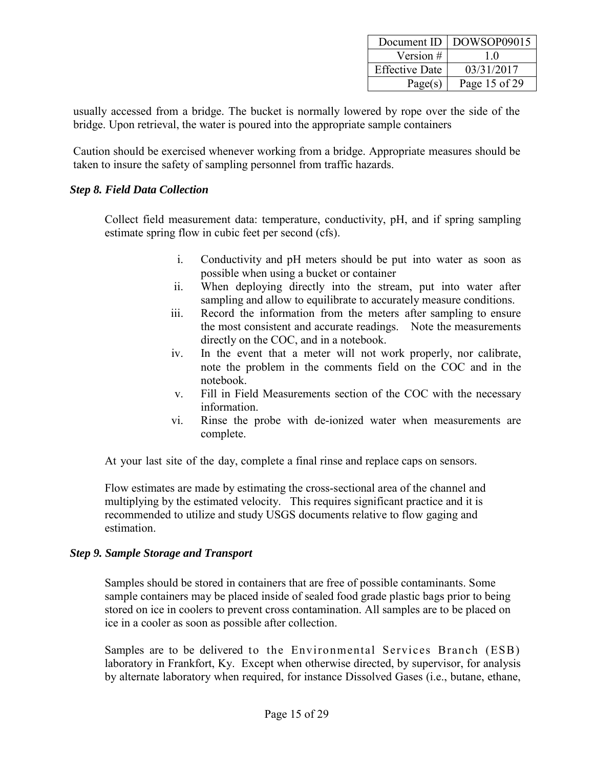|                       | Document ID   DOWSOP09015 |
|-----------------------|---------------------------|
| Version #             | 10                        |
| <b>Effective Date</b> | 03/31/2017                |
| Page(s)               | Page 15 of 29             |

usually accessed from a bridge. The bucket is normally lowered by rope over the side of the bridge. Upon retrieval, the water is poured into the appropriate sample containers

Caution should be exercised whenever working from a bridge. Appropriate measures should be taken to insure the safety of sampling personnel from traffic hazards.

#### <span id="page-14-0"></span>*Step 8. Field Data Collection*

Collect field measurement data: temperature, conductivity, pH, and if spring sampling estimate spring flow in cubic feet per second (cfs).

- i. Conductivity and pH meters should be put into water as soon as possible when using a bucket or container
- ii. When deploying directly into the stream, put into water after sampling and allow to equilibrate to accurately measure conditions.
- iii. Record the information from the meters after sampling to ensure the most consistent and accurate readings. Note the measurements directly on the COC, and in a notebook.
- iv. In the event that a meter will not work properly, nor calibrate, note the problem in the comments field on the COC and in the notebook.
- v. Fill in Field Measurements section of the COC with the necessary information.
- vi. Rinse the probe with de-ionized water when measurements are complete.

At your last site of the day, complete a final rinse and replace caps on sensors.

Flow estimates are made by estimating the cross-sectional area of the channel and multiplying by the estimated velocity. This requires significant practice and it is recommended to utilize and study USGS documents relative to flow gaging and estimation.

#### <span id="page-14-1"></span>*Step 9. Sample Storage and Transport*

Samples should be stored in containers that are free of possible contaminants. Some sample containers may be placed inside of sealed food grade plastic bags prior to being stored on ice in coolers to prevent cross contamination. All samples are to be placed on ice in a cooler as soon as possible after collection.

Samples are to be delivered to the Environmental Services Branch (ESB) laboratory in Frankfort, Ky. Except when otherwise directed, by supervisor, for analysis by alternate laboratory when required, for instance Dissolved Gases (i.e., butane, ethane,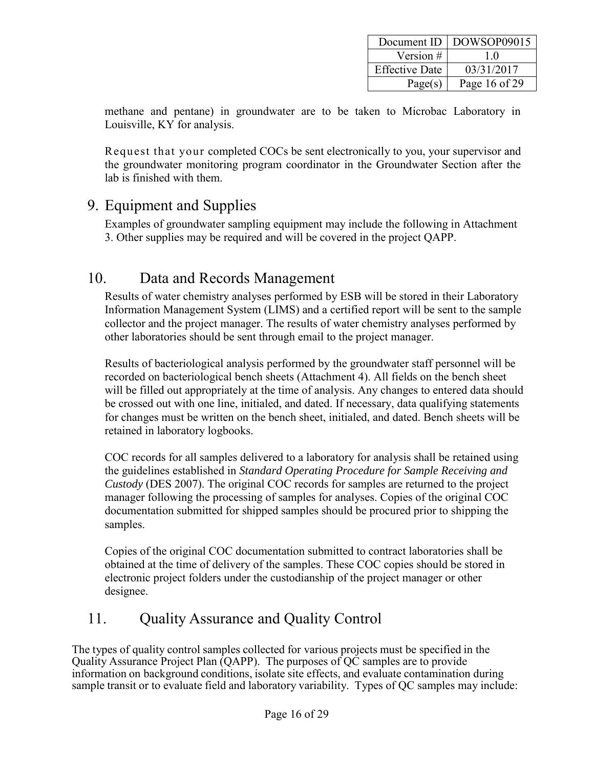| Document ID           | DOWSOP09015   |
|-----------------------|---------------|
| Version #             | 10            |
| <b>Effective Date</b> | 03/31/2017    |
| Page(s)               | Page 16 of 29 |

methane and pentane) in groundwater are to be taken to Microbac Laboratory in Louisville, KY for analysis.

Request that your completed COCs be sent electronically to you, your supervisor and the groundwater monitoring program coordinator in the Groundwater Section after the lab is finished with them.

### <span id="page-15-0"></span>9. Equipment and Supplies

Examples of groundwater sampling equipment may include the following in Attachment 3. Other supplies may be required and will be covered in the project QAPP.

### <span id="page-15-1"></span>10. Data and Records Management

Results of water chemistry analyses performed by ESB will be stored in their Laboratory Information Management System (LIMS) and a certified report will be sent to the sample collector and the project manager. The results of water chemistry analyses performed by other laboratories should be sent through email to the project manager.

Results of bacteriological analysis performed by the groundwater staff personnel will be recorded on bacteriological bench sheets (Attachment 4). All fields on the bench sheet will be filled out appropriately at the time of analysis. Any changes to entered data should be crossed out with one line, initialed, and dated. If necessary, data qualifying statements for changes must be written on the bench sheet, initialed, and dated. Bench sheets will be retained in laboratory logbooks.

COC records for all samples delivered to a laboratory for analysis shall be retained using the guidelines established in *Standard Operating Procedure for Sample Receiving and Custody* (DES 2007). The original COC records for samples are returned to the project manager following the processing of samples for analyses. Copies of the original COC documentation submitted for shipped samples should be procured prior to shipping the samples.

Copies of the original COC documentation submitted to contract laboratories shall be obtained at the time of delivery of the samples. These COC copies should be stored in electronic project folders under the custodianship of the project manager or other designee.

## <span id="page-15-2"></span>11. Quality Assurance and Quality Control

The types of quality control samples collected for various projects must be specified in the Quality Assurance Project Plan (QAPP). The purposes of QC samples are to provide information on background conditions, isolate site effects, and evaluate contamination during sample transit or to evaluate field and laboratory variability. Types of QC samples may include: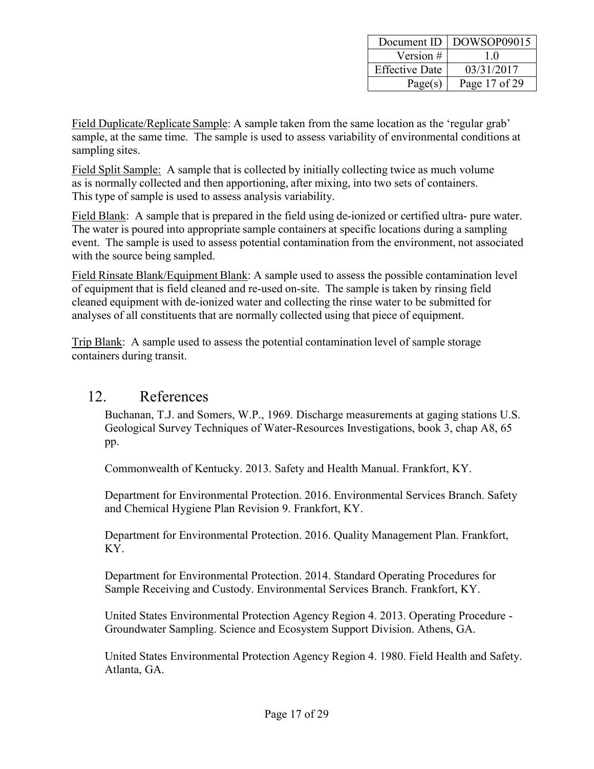| Document ID           | DOWSOP09015   |
|-----------------------|---------------|
| Version #             | 10            |
| <b>Effective Date</b> | 03/31/2017    |
| Page(s)               | Page 17 of 29 |

Field Duplicate/Replicate Sample: A sample taken from the same location as the 'regular grab' sample, at the same time. The sample is used to assess variability of environmental conditions at sampling sites.

Field Split Sample: A sample that is collected by initially collecting twice as much volume as is normally collected and then apportioning, after mixing, into two sets of containers. This type of sample is used to assess analysis variability.

Field Blank: A sample that is prepared in the field using de-ionized or certified ultra- pure water. The water is poured into appropriate sample containers at specific locations during a sampling event. The sample is used to assess potential contamination from the environment, not associated with the source being sampled.

Field Rinsate Blank/Equipment Blank: A sample used to assess the possible contamination level of equipment that is field cleaned and re-used on-site. The sample is taken by rinsing field cleaned equipment with de-ionized water and collecting the rinse water to be submitted for analyses of all constituents that are normally collected using that piece of equipment.

Trip Blank: A sample used to assess the potential contamination level of sample storage containers during transit.

### <span id="page-16-0"></span>12. References

Buchanan, T.J. and Somers, W.P., 1969. Discharge measurements at gaging stations U.S. Geological Survey Techniques of Water-Resources Investigations, book 3, chap A8, 65 pp.

Commonwealth of Kentucky. 2013. Safety and Health Manual. Frankfort, KY.

Department for Environmental Protection. 2016. Environmental Services Branch. Safety and Chemical Hygiene Plan Revision 9. Frankfort, KY.

Department for Environmental Protection. 2016. Quality Management Plan. Frankfort, KY.

Department for Environmental Protection. 2014. Standard Operating Procedures for Sample Receiving and Custody. Environmental Services Branch. Frankfort, KY.

United States Environmental Protection Agency Region 4. 2013. Operating Procedure - Groundwater Sampling. Science and Ecosystem Support Division. Athens, GA.

United States Environmental Protection Agency Region 4. 1980. Field Health and Safety. Atlanta, GA.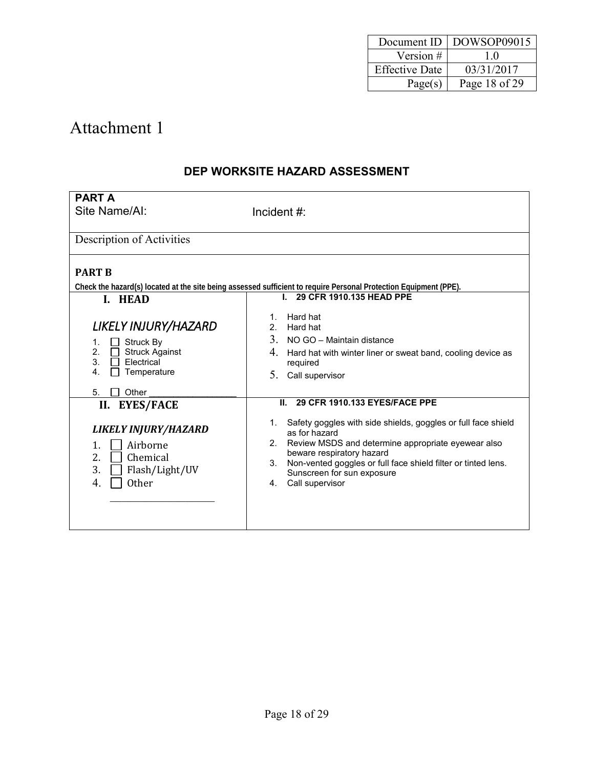| Document ID           | DOWSOP09015   |
|-----------------------|---------------|
| Version #             | 10            |
| <b>Effective Date</b> | 03/31/2017    |
| Page(s)               | Page 18 of 29 |

### **DEP WORKSITE HAZARD ASSESSMENT**

| <b>PART A</b>                                                                                                   |                                                                                                                                                                                                                                                                                                                                  |
|-----------------------------------------------------------------------------------------------------------------|----------------------------------------------------------------------------------------------------------------------------------------------------------------------------------------------------------------------------------------------------------------------------------------------------------------------------------|
| Site Name/AI:                                                                                                   | Incident #:                                                                                                                                                                                                                                                                                                                      |
|                                                                                                                 |                                                                                                                                                                                                                                                                                                                                  |
| Description of Activities                                                                                       |                                                                                                                                                                                                                                                                                                                                  |
|                                                                                                                 |                                                                                                                                                                                                                                                                                                                                  |
| <b>PART B</b>                                                                                                   |                                                                                                                                                                                                                                                                                                                                  |
|                                                                                                                 | Check the hazard(s) located at the site being assessed sufficient to require Personal Protection Equipment (PPE).                                                                                                                                                                                                                |
| I. HEAD                                                                                                         | I. 29 CFR 1910.135 HEAD PPE                                                                                                                                                                                                                                                                                                      |
| LIKELY INJURY/HAZARD<br>Struck By<br>1.<br>2.<br><b>Struck Against</b><br>3.<br>Flectrical<br>Temperature<br>4. | Hard hat<br>1.<br>2 <sup>1</sup><br>Hard hat<br>3.<br>NO GO - Maintain distance<br>4.<br>Hard hat with winter liner or sweat band, cooling device as<br>required<br>5.<br>Call supervisor                                                                                                                                        |
| Other<br>5.                                                                                                     | 29 CFR 1910.133 EYES/FACE PPE<br>П.                                                                                                                                                                                                                                                                                              |
| II. EYES/FACE                                                                                                   |                                                                                                                                                                                                                                                                                                                                  |
| LIKELY INJURY/HAZARD<br>1.<br>Airborne<br>Chemical<br>2.<br>3.<br>Flash/Light/UV<br><b>Other</b><br>4.          | 1. Safety goggles with side shields, goggles or full face shield<br>as for hazard<br>Review MSDS and determine appropriate eyewear also<br>2 <sup>2</sup><br>beware respiratory hazard<br>Non-vented goggles or full face shield filter or tinted lens.<br>3 <sub>1</sub><br>Sunscreen for sun exposure<br>Call supervisor<br>4. |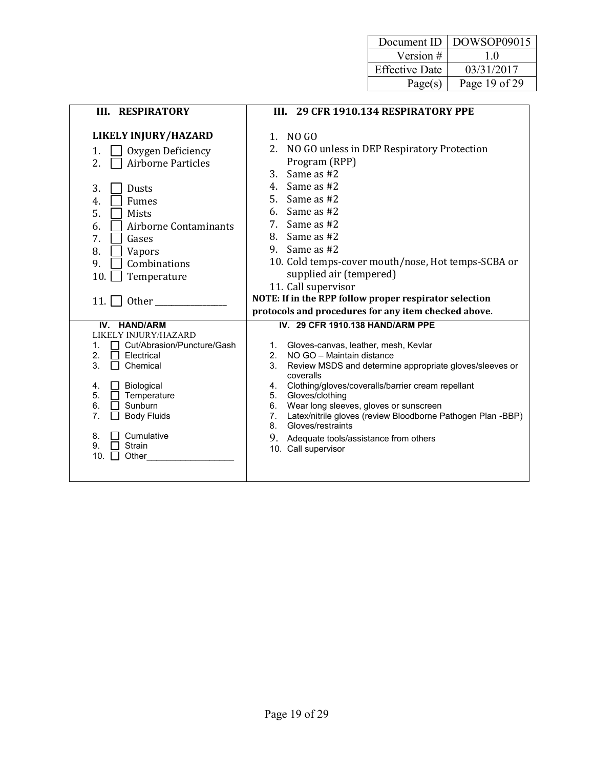| Document ID           | DOWSOP09015   |
|-----------------------|---------------|
| Version #             | 10            |
| <b>Effective Date</b> | 03/31/2017    |
| Page(s)               | Page 19 of 29 |

| <b>III. RESPIRATORY</b>                                                                                                                                                                                                                                                                 | III. 29 CFR 1910.134 RESPIRATORY PPE                                                                                                                                                                                                                                                                                                                                                                                                                                                                            |
|-----------------------------------------------------------------------------------------------------------------------------------------------------------------------------------------------------------------------------------------------------------------------------------------|-----------------------------------------------------------------------------------------------------------------------------------------------------------------------------------------------------------------------------------------------------------------------------------------------------------------------------------------------------------------------------------------------------------------------------------------------------------------------------------------------------------------|
| <b>LIKELY INJURY/HAZARD</b><br>Oxygen Deficiency<br>1.<br>2.<br><b>Airborne Particles</b><br>3.<br>Dusts<br>Fumes<br>4.<br>5.<br><b>Mists</b><br><b>Airborne Contaminants</b><br>6.<br>7.<br>Gases<br>8.<br>Vapors<br>9.<br>Combinations<br>10.<br>Temperature<br>11.<br>Other          | NO GO<br>$1_{-}$<br>2.<br>NO GO unless in DEP Respiratory Protection<br>Program (RPP)<br>Same as #2<br>3.<br>4. Same as #2<br>5. Same as #2<br>6. Same as $#2$<br>Same as #2<br>7.<br>8. Same as #2<br>9. Same as $#2$<br>10. Cold temps-cover mouth/nose, Hot temps-SCBA or<br>supplied air (tempered)<br>11. Call supervisor<br>NOTE: If in the RPP follow proper respirator selection                                                                                                                        |
|                                                                                                                                                                                                                                                                                         | protocols and procedures for any item checked above.                                                                                                                                                                                                                                                                                                                                                                                                                                                            |
| IV. HAND/ARM<br>LIKELY INJURY/HAZARD<br>Cut/Abrasion/Puncture/Gash<br>1.<br>2.<br>Electrical<br>3.<br>Chemical<br>Biological<br>4.<br>5.<br>Temperature<br>$\Box$<br>6.<br>Sunburn<br>$\overline{7}$ .<br><b>Body Fluids</b><br>Cumulative<br>8.<br>9.<br><b>Strain</b><br>10.<br>Other | IV. 29 CFR 1910.138 HAND/ARM PPE<br>Gloves-canvas, leather, mesh, Kevlar<br>$1_{\cdot}$<br>NO GO - Maintain distance<br>2.<br>Review MSDS and determine appropriate gloves/sleeves or<br>3.<br>coveralls<br>Clothing/gloves/coveralls/barrier cream repellant<br>4.<br>Gloves/clothing<br>5.<br>Wear long sleeves, gloves or sunscreen<br>6.<br>Latex/nitrile gloves (review Bloodborne Pathogen Plan -BBP)<br>7.<br>Gloves/restraints<br>8.<br>9. Adequate tools/assistance from others<br>10. Call supervisor |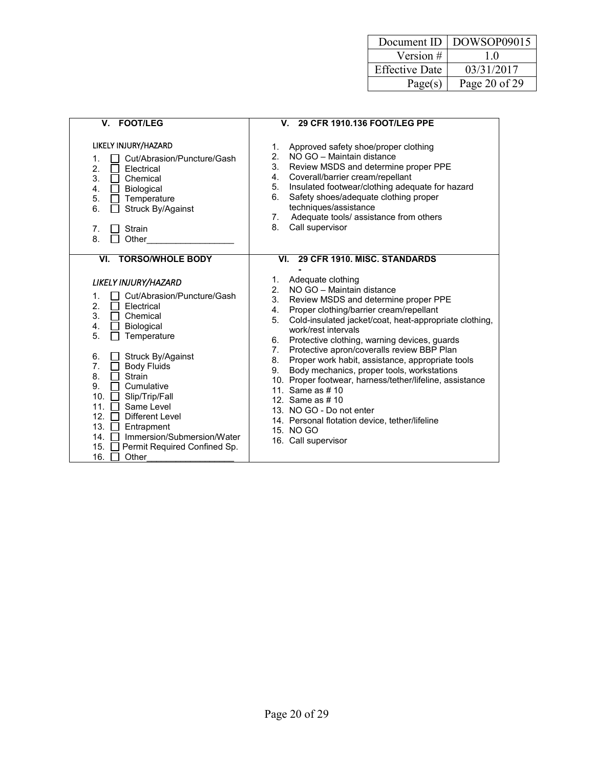| Document ID           | DOWSOP09015   |
|-----------------------|---------------|
| Version #             | 10            |
| <b>Effective Date</b> | 03/31/2017    |
| Page(s)               | Page 20 of 29 |

| <b>FOOT/LEG</b><br>V.                                                                                                                                                                                                                                                                                                                                                                                                                                                                                                                       | 29 CFR 1910.136 FOOT/LEG PPE<br>V.                                                                                                                                                                                                                                                                                                                                                                                                                                                                                                                                                                                                                                                                                                                |
|---------------------------------------------------------------------------------------------------------------------------------------------------------------------------------------------------------------------------------------------------------------------------------------------------------------------------------------------------------------------------------------------------------------------------------------------------------------------------------------------------------------------------------------------|---------------------------------------------------------------------------------------------------------------------------------------------------------------------------------------------------------------------------------------------------------------------------------------------------------------------------------------------------------------------------------------------------------------------------------------------------------------------------------------------------------------------------------------------------------------------------------------------------------------------------------------------------------------------------------------------------------------------------------------------------|
| LIKELY INJURY/HAZARD<br>Cut/Abrasion/Puncture/Gash<br>1.<br>2.<br>Electrical<br>3.<br>Chemical<br>$\perp$<br>4.<br><b>Biological</b><br>$\perp$<br>5.<br>Temperature<br>$\Box$<br>6.<br>Struck By/Against<br>7.<br>Strain<br>8.<br>Other                                                                                                                                                                                                                                                                                                    | Approved safety shoe/proper clothing<br>1.<br>NO GO - Maintain distance<br>2.<br>3.<br>Review MSDS and determine proper PPE<br>Coverall/barrier cream/repellant<br>4.<br>Insulated footwear/clothing adequate for hazard<br>5.<br>Safety shoes/adequate clothing proper<br>6.<br>techniques/assistance<br>Adequate tools/ assistance from others<br>7.<br>8.<br>Call supervisor                                                                                                                                                                                                                                                                                                                                                                   |
| <b>TORSO/WHOLE BODY</b><br>VI.<br>LIKELY INJURY/HAZARD<br>Cut/Abrasion/Puncture/Gash<br>1.<br>2.<br>Electrical<br>$\mathbf{L}$<br>3.<br>Chemical<br>$\Box$<br>4.<br>Biological<br>$\mathbf{L}$<br>5.<br>Temperature<br>Struck By/Against<br>6.<br>7.<br><b>Body Fluids</b><br>$\mathbf{L}$<br>8.<br>Strain<br>9.<br>Cumulative<br>10.<br>Slip/Trip/Fall<br>$\perp$<br>11.<br>Same Level<br>12.<br>Different Level<br>13. $\Box$<br>Entrapment<br>Immersion/Submersion/Water<br>14. □<br>15.<br>Permit Required Confined Sp.<br>16.<br>Other | 29 CFR 1910. MISC. STANDARDS<br>VI.<br>Adequate clothing<br>1.<br>NO GO - Maintain distance<br>2 <sup>1</sup><br>3.<br>Review MSDS and determine proper PPE<br>Proper clothing/barrier cream/repellant<br>4.<br>Cold-insulated jacket/coat, heat-appropriate clothing,<br>5.<br>work/rest intervals<br>Protective clothing, warning devices, guards<br>6.<br>Protective apron/coveralls review BBP Plan<br>7.<br>Proper work habit, assistance, appropriate tools<br>8.<br>Body mechanics, proper tools, workstations<br>9.<br>10. Proper footwear, harness/tether/lifeline, assistance<br>11. Same as # 10<br>12. Same as # 10<br>13. NO GO - Do not enter<br>14. Personal flotation device, tether/lifeline<br>15. NO GO<br>16. Call supervisor |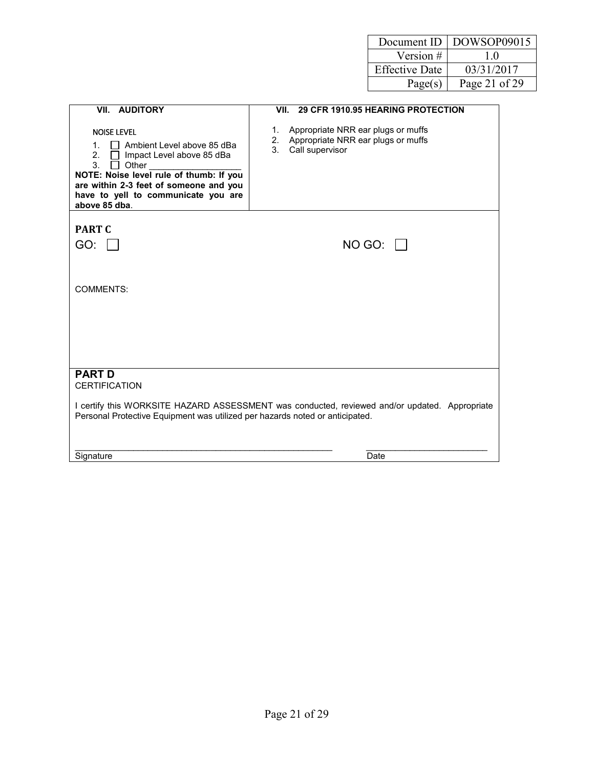| Document ID           | DOWSOP09015   |
|-----------------------|---------------|
| Version #             | 10            |
| <b>Effective Date</b> | 03/31/2017    |
| Page(s)               | Page 21 of 29 |

| VII. AUDITORY                                                                                                                                                                                                                                                            | VII. 29 CFR 1910.95 HEARING PROTECTION                                                                     |
|--------------------------------------------------------------------------------------------------------------------------------------------------------------------------------------------------------------------------------------------------------------------------|------------------------------------------------------------------------------------------------------------|
| <b>NOISE LEVEL</b><br>$\Box$ Ambient Level above 85 dBa<br>1 <sup>1</sup><br>2.<br>Impact Level above 85 dBa<br>3.<br>Other<br>NOTE: Noise level rule of thumb: If you<br>are within 2-3 feet of someone and you<br>have to yell to communicate you are<br>above 85 dba. | Appropriate NRR ear plugs or muffs<br>1.<br>2. Appropriate NRR ear plugs or muffs<br>3.<br>Call supervisor |
| <b>PART C</b>                                                                                                                                                                                                                                                            |                                                                                                            |
| GO:                                                                                                                                                                                                                                                                      | $NO$ GO: $\vert \vert$                                                                                     |
|                                                                                                                                                                                                                                                                          |                                                                                                            |
| <b>COMMENTS:</b>                                                                                                                                                                                                                                                         |                                                                                                            |
|                                                                                                                                                                                                                                                                          |                                                                                                            |
| <b>PART D</b><br><b>CERTIFICATION</b>                                                                                                                                                                                                                                    |                                                                                                            |
| Personal Protective Equipment was utilized per hazards noted or anticipated.                                                                                                                                                                                             | I certify this WORKSITE HAZARD ASSESSMENT was conducted, reviewed and/or updated. Appropriate              |
| Signature                                                                                                                                                                                                                                                                | Date                                                                                                       |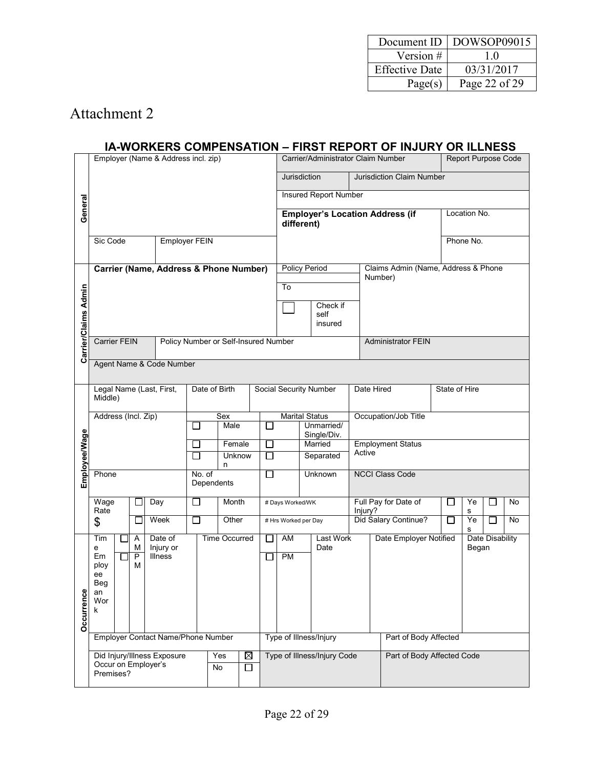| Document ID           | $\mid$ DOWSOP09015 |
|-----------------------|--------------------|
| Version #             | 10                 |
| <b>Effective Date</b> | 03/31/2017         |
| Page(s)               | Page 22 of 29      |

#### **IA-WORKERS COMPENSATION – FIRST REPORT OF INJURY OR ILLNESS**

|                      | Employer (Name & Address incl. zip)                  |                     |                                    |                          |                                      |                              | Carrier/Administrator Claim Number        |                                        |  |                                    | Report Purpose Code                 |               |              |                 |    |  |
|----------------------|------------------------------------------------------|---------------------|------------------------------------|--------------------------|--------------------------------------|------------------------------|-------------------------------------------|----------------------------------------|--|------------------------------------|-------------------------------------|---------------|--------------|-----------------|----|--|
|                      |                                                      |                     |                                    |                          |                                      |                              | Jurisdiction<br>Jurisdiction Claim Number |                                        |  |                                    |                                     |               |              |                 |    |  |
|                      |                                                      |                     |                                    |                          |                                      | <b>Insured Report Number</b> |                                           |                                        |  |                                    |                                     |               |              |                 |    |  |
| General              |                                                      |                     |                                    |                          |                                      |                              |                                           | <b>Employer's Location Address (if</b> |  |                                    |                                     |               | Location No. |                 |    |  |
|                      |                                                      |                     |                                    |                          |                                      |                              | different)                                |                                        |  |                                    |                                     |               |              |                 |    |  |
|                      | Sic Code                                             |                     |                                    | <b>Employer FEIN</b>     |                                      |                              |                                           |                                        |  |                                    |                                     | Phone No.     |              |                 |    |  |
|                      | Carrier (Name, Address & Phone Number)               |                     |                                    |                          |                                      |                              |                                           | <b>Policy Period</b>                   |  |                                    | Claims Admin (Name, Address & Phone |               |              |                 |    |  |
|                      |                                                      |                     |                                    |                          |                                      |                              |                                           |                                        |  |                                    | Number)                             |               |              |                 |    |  |
|                      |                                                      |                     |                                    |                          |                                      |                              | To                                        |                                        |  |                                    |                                     |               |              |                 |    |  |
|                      |                                                      |                     |                                    |                          |                                      |                              |                                           | Check if<br>self                       |  |                                    |                                     |               |              |                 |    |  |
|                      |                                                      |                     |                                    |                          |                                      |                              |                                           | insured                                |  |                                    |                                     |               |              |                 |    |  |
| Carrier/Claims Admin | <b>Carrier FEIN</b>                                  |                     |                                    |                          | Policy Number or Self-Insured Number |                              |                                           |                                        |  |                                    | <b>Administrator FEIN</b>           |               |              |                 |    |  |
|                      | Agent Name & Code Number                             |                     |                                    |                          |                                      |                              |                                           |                                        |  |                                    |                                     |               |              |                 |    |  |
|                      |                                                      |                     |                                    |                          |                                      |                              |                                           |                                        |  | Date Hired                         |                                     | State of Hire |              |                 |    |  |
|                      | Legal Name (Last, First,<br>Date of Birth<br>Middle) |                     |                                    |                          |                                      | Social Security Number       |                                           |                                        |  |                                    |                                     |               |              |                 |    |  |
|                      | Address (Incl. Zip)                                  |                     |                                    |                          | Sex                                  |                              | <b>Marital Status</b>                     |                                        |  | Occupation/Job Title               |                                     |               |              |                 |    |  |
|                      |                                                      |                     |                                    |                          | Male                                 | ∃                            | Unmarried/<br>Single/Div.                 |                                        |  |                                    |                                     |               |              |                 |    |  |
|                      |                                                      |                     |                                    | П<br>J.                  | Female<br>Unknow                     | $\Box$<br>□                  |                                           | Married<br>Separated                   |  | <b>Employment Status</b><br>Active |                                     |               |              |                 |    |  |
| Employee/Wage        |                                                      |                     |                                    |                          | n                                    |                              |                                           |                                        |  |                                    |                                     |               |              |                 |    |  |
|                      | Phone                                                |                     |                                    | No. of                   | Dependents                           | □                            |                                           | Unknown                                |  |                                    | <b>NCCI Class Code</b>              |               |              |                 |    |  |
|                      | Wage<br>Rate                                         |                     | Day                                | $\overline{\phantom{0}}$ | Month                                |                              | # Days Worked/WK                          |                                        |  |                                    | Full Pay for Date of                | $\mathsf{L}$  | Ye           |                 | No |  |
|                      | \$                                                   |                     | Week                               | □                        | Other                                |                              | # Hrs Worked per Day                      |                                        |  | Injury?                            | Did Salary Continue?                | П             | s<br>Ye      |                 | No |  |
|                      | Tim                                                  | Α                   | Date of                            |                          | <b>Time Occurred</b>                 | □                            | AM                                        | Last Work                              |  |                                    | Date Employer Notified              |               | s            | Date Disability |    |  |
|                      | е<br>Em                                              | М<br>$\overline{P}$ | Injury or<br>Illness               |                          |                                      | $\overline{\phantom{0}}$     | PM                                        | Date                                   |  |                                    |                                     |               | Began        |                 |    |  |
|                      | ploy<br>ee                                           | м                   |                                    |                          |                                      |                              |                                           |                                        |  |                                    |                                     |               |              |                 |    |  |
|                      | <b>Beg</b><br>an                                     |                     |                                    |                          |                                      |                              |                                           |                                        |  |                                    |                                     |               |              |                 |    |  |
|                      | Wor<br>k                                             |                     |                                    |                          |                                      |                              |                                           |                                        |  |                                    |                                     |               |              |                 |    |  |
| Occurrence           |                                                      |                     |                                    |                          |                                      |                              |                                           |                                        |  |                                    |                                     |               |              |                 |    |  |
|                      |                                                      |                     | Employer Contact Name/Phone Number |                          |                                      |                              |                                           | Type of Illness/Injury                 |  |                                    | Part of Body Affected               |               |              |                 |    |  |
|                      |                                                      |                     | Did Injury/Illness Exposure        |                          | Yes<br>⊠                             |                              | Type of Illness/Injury Code               |                                        |  | Part of Body Affected Code         |                                     |               |              |                 |    |  |
|                      | Occur on Employer's<br>Premises?                     |                     |                                    |                          | □<br>No                              |                              |                                           |                                        |  |                                    |                                     |               |              |                 |    |  |
|                      |                                                      |                     |                                    |                          |                                      |                              |                                           |                                        |  |                                    |                                     |               |              |                 |    |  |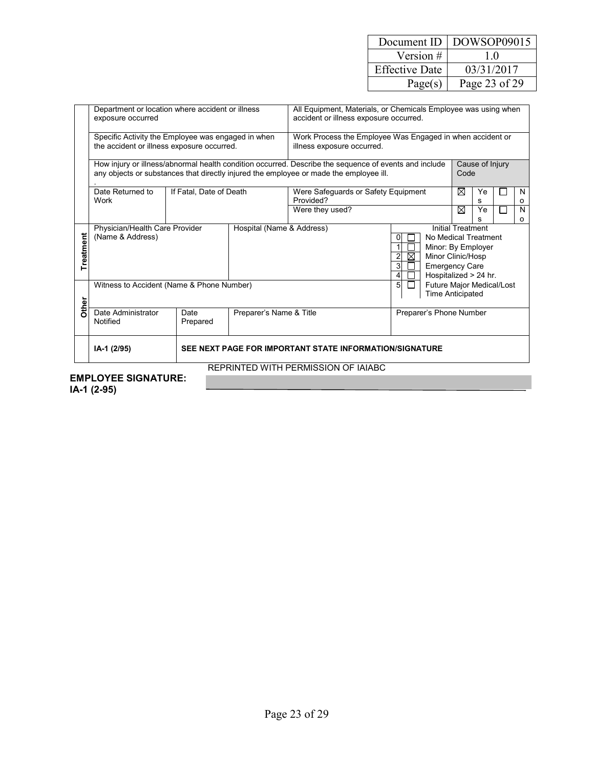| Document ID           | DOWSOP09015   |
|-----------------------|---------------|
| Version #             | 10            |
| <b>Effective Date</b> | 03/31/2017    |
| Page(s)               | Page 23 of 29 |

|           | Department or location where accident or illness<br>exposure occurred                            |                         |                           | All Equipment, Materials, or Chemicals Employee was using when<br>accident or illness exposure occurred.                                                                                                                   |                                                                                                                                                                                |   |         |        |              |  |  |  |  |
|-----------|--------------------------------------------------------------------------------------------------|-------------------------|---------------------------|----------------------------------------------------------------------------------------------------------------------------------------------------------------------------------------------------------------------------|--------------------------------------------------------------------------------------------------------------------------------------------------------------------------------|---|---------|--------|--------------|--|--|--|--|
|           | Specific Activity the Employee was engaged in when<br>the accident or illness exposure occurred. |                         |                           | Work Process the Employee Was Engaged in when accident or<br>illness exposure occurred.                                                                                                                                    |                                                                                                                                                                                |   |         |        |              |  |  |  |  |
|           |                                                                                                  |                         |                           | How injury or illness/abnormal health condition occurred. Describe the sequence of events and include<br>Cause of Injury<br>any objects or substances that directly injured the employee or made the employee ill.<br>Code |                                                                                                                                                                                |   |         |        |              |  |  |  |  |
|           | Date Returned to<br>Work                                                                         | If Fatal, Date of Death |                           | Were Safeguards or Safety Equipment<br>Provided?                                                                                                                                                                           |                                                                                                                                                                                | ⊠ | Ye<br>s |        | N<br>$\circ$ |  |  |  |  |
|           |                                                                                                  |                         |                           | Were they used?                                                                                                                                                                                                            |                                                                                                                                                                                | ⊠ | Ye<br>s | $\Box$ | N<br>$\circ$ |  |  |  |  |
| Treatment | Physician/Health Care Provider<br>(Name & Address)                                               |                         | Hospital (Name & Address) |                                                                                                                                                                                                                            | <b>Initial Treatment</b><br>No Medical Treatment<br>Minor: By Employer<br>⊠<br>$\overline{2}$<br>Minor Clinic/Hosp<br>3<br><b>Emergency Care</b><br>Hospitalized > 24 hr.<br>4 |   |         |        |              |  |  |  |  |
| Other     | Witness to Accident (Name & Phone Number)                                                        |                         |                           |                                                                                                                                                                                                                            | Future Major Medical/Lost<br>5<br>$\mathbf{1}$<br><b>Time Anticipated</b>                                                                                                      |   |         |        |              |  |  |  |  |
|           | Date Administrator<br>Notified                                                                   | Date<br>Prepared        | Preparer's Name & Title   |                                                                                                                                                                                                                            | Preparer's Phone Number                                                                                                                                                        |   |         |        |              |  |  |  |  |
|           | SEE NEXT PAGE FOR IMPORTANT STATE INFORMATION/SIGNATURE<br>IA-1 (2/95)                           |                         |                           |                                                                                                                                                                                                                            |                                                                                                                                                                                |   |         |        |              |  |  |  |  |
|           | REPRINTED WITH PERMISSION OF IAIABC                                                              |                         |                           |                                                                                                                                                                                                                            |                                                                                                                                                                                |   |         |        |              |  |  |  |  |

#### **EMPLOYEE SIGNATURE:**

**IA-1 (2-95)**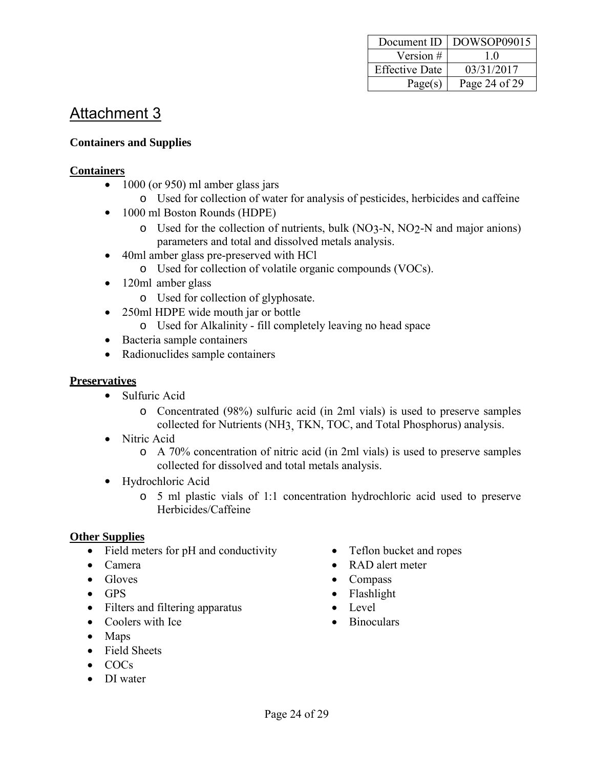| Document ID           | $\mid$ DOWSOP09015 |
|-----------------------|--------------------|
| Version #             | 10                 |
| <b>Effective Date</b> | 03/31/2017         |
| Page(s)               | Page 24 of 29      |

#### **Containers and Supplies**

#### **Containers**

- 1000 (or 950) ml amber glass jars
	- o Used for collection of water for analysis of pesticides, herbicides and caffeine
- 1000 ml Boston Rounds (HDPE)
	- o Used for the collection of nutrients, bulk (NO3-N, NO2-N and major anions) parameters and total and dissolved metals analysis.
- 40ml amber glass pre-preserved with HCl
- o Used for collection of volatile organic compounds (VOCs).
- 120ml amber glass
	- o Used for collection of glyphosate.
- 250ml HDPE wide mouth jar or bottle
	- o Used for Alkalinity fill completely leaving no head space
- Bacteria sample containers
- Radionuclides sample containers

#### **Preservatives**

- Sulfuric Acid
	- o Concentrated (98%) sulfuric acid (in 2ml vials) is used to preserve samples collected for Nutrients (NH3, TKN, TOC, and Total Phosphorus) analysis.
- Nitric Acid
	- o A 70% concentration of nitric acid (in 2ml vials) is used to preserve samples collected for dissolved and total metals analysis.
- Hydrochloric Acid
	- o 5 ml plastic vials of 1:1 concentration hydrochloric acid used to preserve Herbicides/Caffeine

#### **Other Supplies**

- Field meters for pH and conductivity
- Camera
- $\bullet$  Gloves
- $-$  GPS
- Filters and filtering apparatus
- Coolers with Ice
- Maps
- Field Sheets
- $\bullet$  COCs
- DI water
- Teflon bucket and ropes
- RAD alert meter
- Compass
- Flashlight
- Level
- Binoculars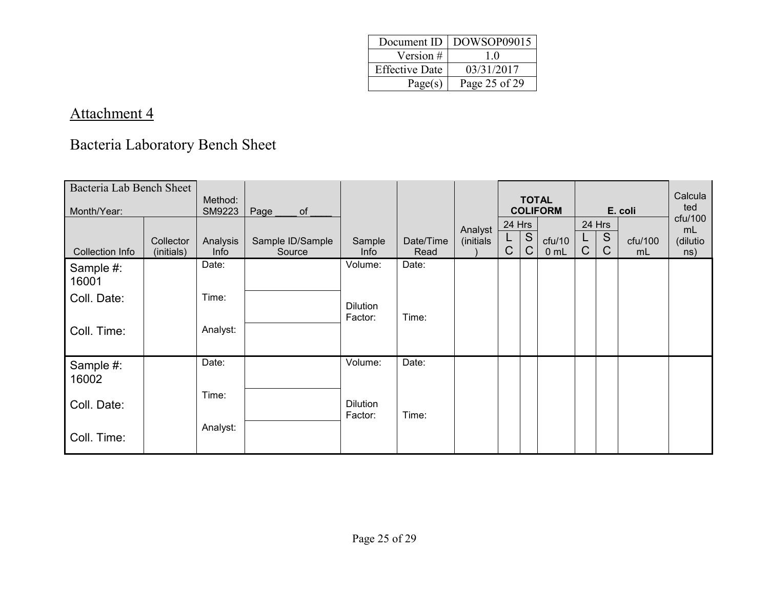|                       | Document ID   DOWSOP09015 |
|-----------------------|---------------------------|
| Version #             | 10                        |
| <b>Effective Date</b> | 03/31/2017                |
| Page(s)               | Page 25 of 29             |

## Bacteria Laboratory Bench Sheet

| Bacteria Lab Bench Sheet<br>Month/Year: |                         | Method:<br>SM9223 | Page<br>$\circ$ of         |                            |                   |           |                  |        | <b>TOTAL</b><br><b>COLIFORM</b> |                  |                  | E. coli       | Calcula<br>ted<br>ctu/100 |
|-----------------------------------------|-------------------------|-------------------|----------------------------|----------------------------|-------------------|-----------|------------------|--------|---------------------------------|------------------|------------------|---------------|---------------------------|
|                                         |                         |                   |                            |                            |                   | Analyst   | 24 Hrs           |        |                                 |                  | 24 Hrs           |               | mL                        |
| <b>Collection Info</b>                  | Collector<br>(initials) | Analysis<br>Info  | Sample ID/Sample<br>Source | Sample<br>Info             | Date/Time<br>Read | (initials | L<br>$\mathsf C$ | S<br>C | ctu/10<br>0 <sub>mL</sub>       | L<br>$\mathsf C$ | S<br>$\mathsf C$ | cfu/100<br>mL | (dilutio<br>ns)           |
| Sample #:<br>16001                      |                         | Date:             |                            | Volume:                    | Date:             |           |                  |        |                                 |                  |                  |               |                           |
| Coll. Date:                             |                         | Time:             |                            | <b>Dilution</b><br>Factor: | Time:             |           |                  |        |                                 |                  |                  |               |                           |
| Coll. Time:                             |                         | Analyst:          |                            |                            |                   |           |                  |        |                                 |                  |                  |               |                           |
| Sample #:<br>16002                      |                         | Date:             |                            | Volume:                    | Date:             |           |                  |        |                                 |                  |                  |               |                           |
| Coll. Date:                             |                         | Time:             |                            | <b>Dilution</b><br>Factor: | Time:             |           |                  |        |                                 |                  |                  |               |                           |
| Coll. Time:                             |                         | Analyst:          |                            |                            |                   |           |                  |        |                                 |                  |                  |               |                           |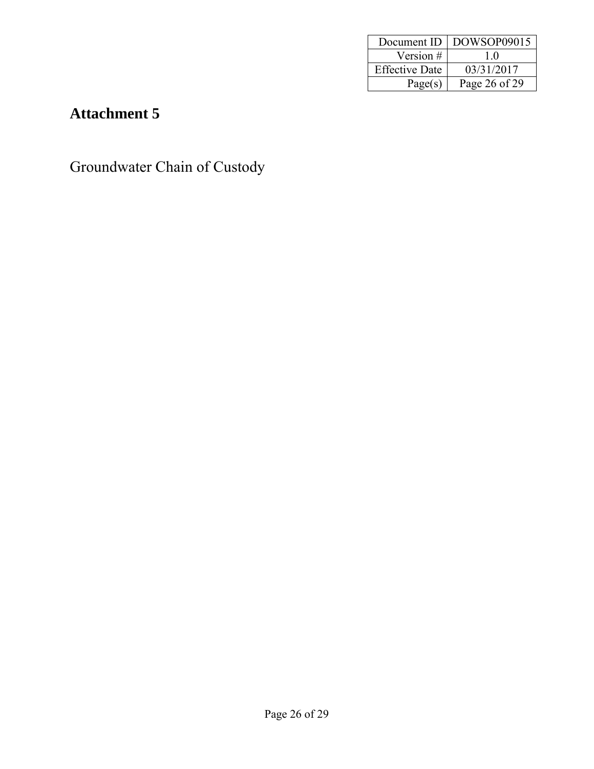| Document ID           | DOWSOP09015   |
|-----------------------|---------------|
| Version #             | 10            |
| <b>Effective Date</b> | 03/31/2017    |
| Page(s)               | Page 26 of 29 |

Groundwater Chain of Custody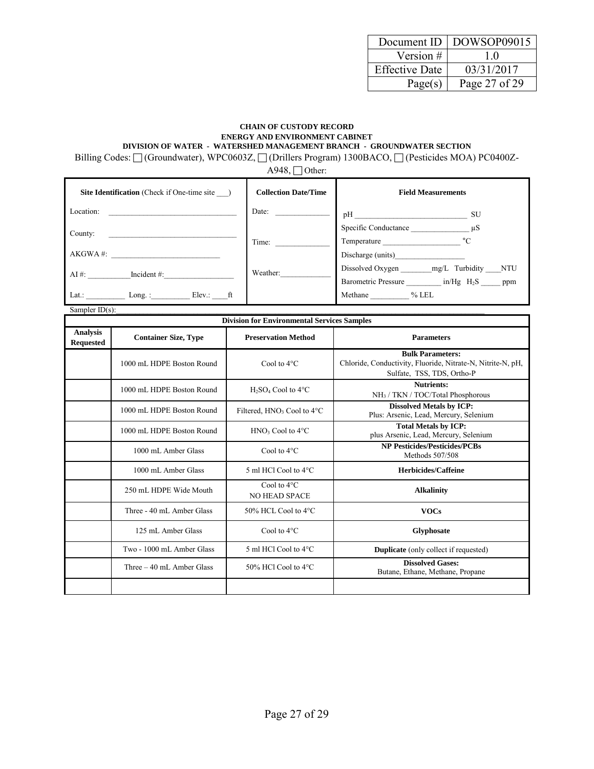|                       | Document ID   DOWSOP09015 |
|-----------------------|---------------------------|
| Version #             | 10                        |
| <b>Effective Date</b> | 03/31/2017                |
| Page(s)               | Page 27 of 29             |

#### **CHAIN OF CUSTODY RECORD ENERGY AND ENVIRONMENT CABINET DIVISION OF WATER - WATERSHED MANAGEMENT BRANCH - GROUNDWATER SECTION**

Billing Codes:  $\Box$  (Groundwater), WPC0603Z,  $\Box$  (Drillers Program) 1300BACO,  $\Box$  (Pesticides MOA) PC0400Z-

 $A948, \Box$  Other:

| <b>Site Identification</b> (Check if One-time site) | <b>Collection Date/Time</b> | <b>Field Measurements</b>                                      |
|-----------------------------------------------------|-----------------------------|----------------------------------------------------------------|
| Location:                                           | Date:                       | pH<br><b>SU</b>                                                |
| County:                                             |                             | Specific Conductance $\mu S$                                   |
|                                                     | Time:                       | $^{\circ}$ C<br>Temperature                                    |
| AKGWA #:                                            |                             | Discharge (units)                                              |
| $AI \#$ :<br>Incident $#$ :                         | Weather:                    | Dissolved Oxygen mg/L Turbidity NTU                            |
|                                                     |                             | Barometric Pressure _________ in/Hg H <sub>2</sub> S _____ ppm |
| Lat.:<br>$Elev.:$ ft<br>Long. $\colon$              |                             | Methane % LEL                                                  |

Sampler  $ID(s)$ :

| <b>Division for Environmental Services Samples</b> |                             |                                                     |                                                                                                                      |
|----------------------------------------------------|-----------------------------|-----------------------------------------------------|----------------------------------------------------------------------------------------------------------------------|
| <b>Analysis</b><br><b>Requested</b>                | <b>Container Size, Type</b> | <b>Preservation Method</b>                          | <b>Parameters</b>                                                                                                    |
|                                                    | 1000 mL HDPE Boston Round   | Cool to $4^{\circ}$ C                               | <b>Bulk Parameters:</b><br>Chloride, Conductivity, Fluoride, Nitrate-N, Nitrite-N, pH,<br>Sulfate, TSS, TDS, Ortho-P |
|                                                    | 1000 mL HDPE Boston Round   | $H_2SO_4$ Cool to 4 $^{\circ}$ C                    | <b>Nutrients:</b><br>NH <sub>3</sub> / TKN / TOC/Total Phosphorous                                                   |
|                                                    | 1000 mL HDPE Boston Round   | Filtered, HNO <sub>3</sub> Cool to 4 <sup>o</sup> C | <b>Dissolved Metals by ICP:</b><br>Plus: Arsenic, Lead, Mercury, Selenium                                            |
|                                                    | 1000 mL HDPE Boston Round   | $HNO3$ Cool to 4 $°C$                               | <b>Total Metals by ICP:</b><br>plus Arsenic, Lead, Mercury, Selenium                                                 |
|                                                    | 1000 mL Amber Glass         | Cool to $4^{\circ}$ C                               | <b>NP Pesticides/Pesticides/PCBs</b><br>Methods 507/508                                                              |
|                                                    | 1000 mL Amber Glass         | 5 ml HCl Cool to 4°C                                | <b>Herbicides/Caffeine</b>                                                                                           |
|                                                    | 250 mL HDPE Wide Mouth      | Cool to $4^{\circ}$ C<br><b>NO HEAD SPACE</b>       | <b>Alkalinity</b>                                                                                                    |
|                                                    | Three - 40 mL Amber Glass   | 50% HCL Cool to 4°C                                 | <b>VOCs</b>                                                                                                          |
|                                                    | 125 mL Amber Glass          | Cool to $4^{\circ}$ C                               | <b>Glyphosate</b>                                                                                                    |
|                                                    | Two - 1000 mL Amber Glass   | 5 ml HCl Cool to 4°C                                | <b>Duplicate</b> (only collect if requested)                                                                         |
|                                                    | Three $-40$ mL Amber Glass  | 50% HCl Cool to $4^{\circ}$ C                       | <b>Dissolved Gases:</b><br>Butane, Ethane, Methane, Propane                                                          |
|                                                    |                             |                                                     |                                                                                                                      |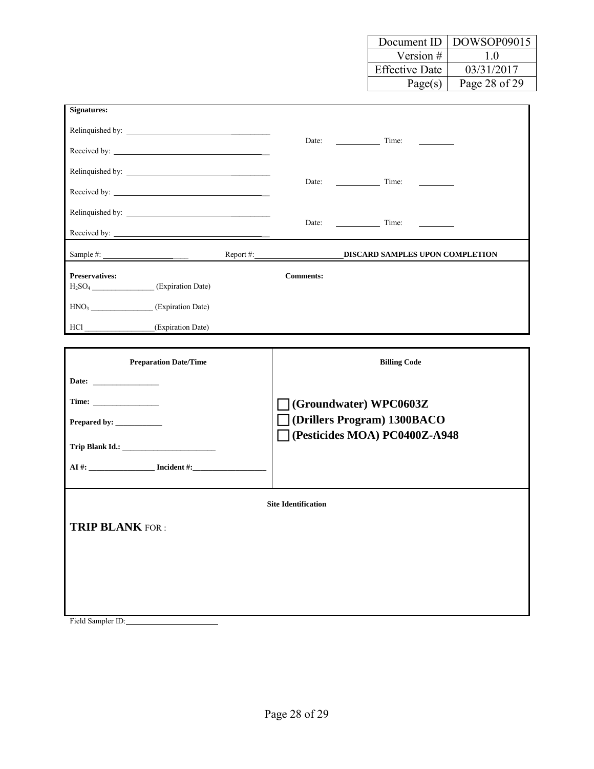|                       | Document ID   DOWSOP09015 |
|-----------------------|---------------------------|
| Version $#$           | 10                        |
| <b>Effective Date</b> | 03/31/2017                |
| Page(s)               | Page 28 of 29             |

┑

| Signatures:                                          |                  |                                 |  |
|------------------------------------------------------|------------------|---------------------------------|--|
|                                                      |                  |                                 |  |
|                                                      |                  |                                 |  |
|                                                      |                  |                                 |  |
|                                                      |                  | Date: Time:                     |  |
| Relinquished by:                                     |                  |                                 |  |
|                                                      |                  | Date: Time:                     |  |
|                                                      |                  | DISCARD SAMPLES UPON COMPLETION |  |
| <b>Preservatives:</b>                                | <b>Comments:</b> |                                 |  |
| $H2SO4$ (Expiration Date)                            |                  |                                 |  |
| HNO <sub>3</sub><br>(Expiration Date)                |                  |                                 |  |
| $HCl$ <sub><math>-</math></sub><br>(Expiration Date) |                  |                                 |  |

| <b>Preparation Date/Time</b>    | <b>Billing Code</b>            |  |  |  |  |
|---------------------------------|--------------------------------|--|--|--|--|
| Date: $\qquad \qquad$           |                                |  |  |  |  |
|                                 | (Groundwater) WPC0603Z         |  |  |  |  |
|                                 | (Drillers Program) 1300BACO    |  |  |  |  |
| Trip Blank Id.: Trip Blank Id.: | T(Pesticides MOA) PC0400Z-A948 |  |  |  |  |
|                                 |                                |  |  |  |  |
|                                 |                                |  |  |  |  |
| <b>Site Identification</b>      |                                |  |  |  |  |
| <b>TRIP BLANK FOR:</b>          |                                |  |  |  |  |
|                                 |                                |  |  |  |  |
|                                 |                                |  |  |  |  |
|                                 |                                |  |  |  |  |
|                                 |                                |  |  |  |  |
|                                 |                                |  |  |  |  |

Field Sampler ID:

Г